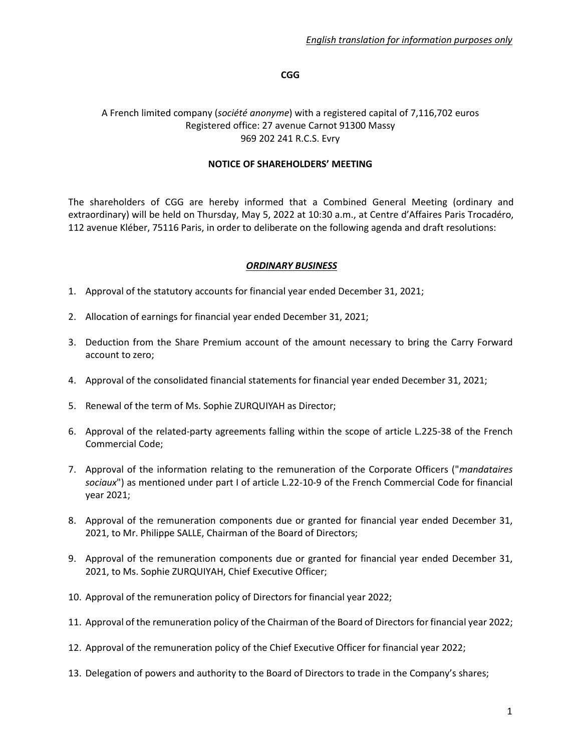### **CGG**

#### A French limited company (*société anonyme*) with a registered capital of 7,116,702 euros Registered office: 27 avenue Carnot 91300 Massy 969 202 241 R.C.S. Evry

#### **NOTICE OF SHAREHOLDERS' MEETING**

The shareholders of CGG are hereby informed that a Combined General Meeting (ordinary and extraordinary) will be held on Thursday, May 5, 2022 at 10:30 a.m., at Centre d'Affaires Paris Trocadéro, 112 avenue Kléber, 75116 Paris, in order to deliberate on the following agenda and draft resolutions:

### *ORDINARY BUSINESS*

- 1. Approval of the statutory accounts for financial year ended December 31, 2021;
- 2. Allocation of earnings for financial year ended December 31, 2021;
- 3. Deduction from the Share Premium account of the amount necessary to bring the Carry Forward account to zero;
- 4. Approval of the consolidated financial statements for financial year ended December 31, 2021;
- 5. Renewal of the term of Ms. Sophie ZURQUIYAH as Director;
- 6. Approval of the related-party agreements falling within the scope of article L.225-38 of the French Commercial Code;
- 7. Approval of the information relating to the remuneration of the Corporate Officers ("*mandataires sociaux*") as mentioned under part I of article L.22-10-9 of the French Commercial Code for financial year 2021;
- 8. Approval of the remuneration components due or granted for financial year ended December 31, 2021, to Mr. Philippe SALLE, Chairman of the Board of Directors;
- 9. Approval of the remuneration components due or granted for financial year ended December 31, 2021, to Ms. Sophie ZURQUIYAH, Chief Executive Officer;
- 10. Approval of the remuneration policy of Directors for financial year 2022;
- 11. Approval of the remuneration policy of the Chairman of the Board of Directors for financial year 2022;
- 12. Approval of the remuneration policy of the Chief Executive Officer for financial year 2022;
- 13. Delegation of powers and authority to the Board of Directors to trade in the Company's shares;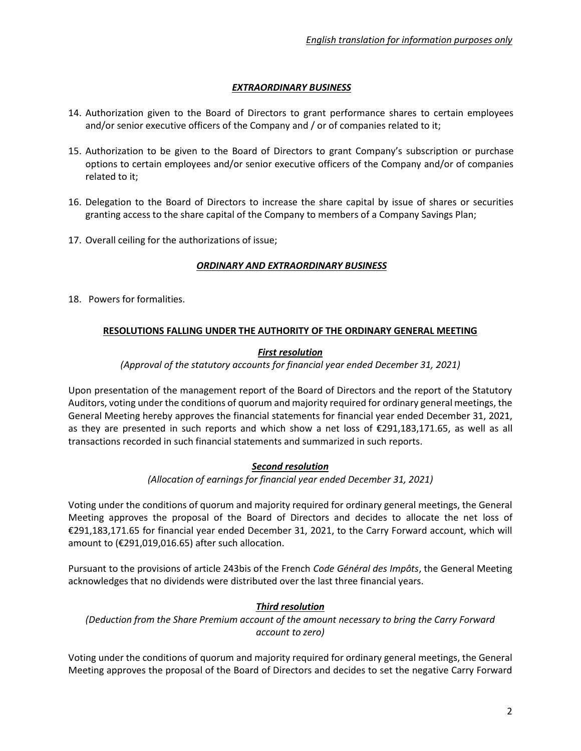# *EXTRAORDINARY BUSINESS*

- 14. Authorization given to the Board of Directors to grant performance shares to certain employees and/or senior executive officers of the Company and / or of companies related to it;
- 15. Authorization to be given to the Board of Directors to grant Company's subscription or purchase options to certain employees and/or senior executive officers of the Company and/or of companies related to it;
- 16. Delegation to the Board of Directors to increase the share capital by issue of shares or securities granting access to the share capital of the Company to members of a Company Savings Plan;
- 17. Overall ceiling for the authorizations of issue;

### *ORDINARY AND EXTRAORDINARY BUSINESS*

18. Powers for formalities.

# **RESOLUTIONS FALLING UNDER THE AUTHORITY OF THE ORDINARY GENERAL MEETING**

# *First resolution*

### *(Approval of the statutory accounts for financial year ended December 31, 2021)*

Upon presentation of the management report of the Board of Directors and the report of the Statutory Auditors, voting under the conditions of quorum and majority required for ordinary general meetings, the General Meeting hereby approves the financial statements for financial year ended December 31, 2021, as they are presented in such reports and which show a net loss of €291,183,171.65, as well as all transactions recorded in such financial statements and summarized in such reports.

# *Second resolution*

#### *(Allocation of earnings for financial year ended December 31, 2021)*

Voting under the conditions of quorum and majority required for ordinary general meetings, the General Meeting approves the proposal of the Board of Directors and decides to allocate the net loss of €291,183,171.65 for financial year ended December 31, 2021, to the Carry Forward account, which will amount to (€291,019,016.65) after such allocation.

Pursuant to the provisions of article 243bis of the French *Code Général des Impôts*, the General Meeting acknowledges that no dividends were distributed over the last three financial years.

# *Third resolution*

*(Deduction from the Share Premium account of the amount necessary to bring the Carry Forward account to zero)*

Voting under the conditions of quorum and majority required for ordinary general meetings, the General Meeting approves the proposal of the Board of Directors and decides to set the negative Carry Forward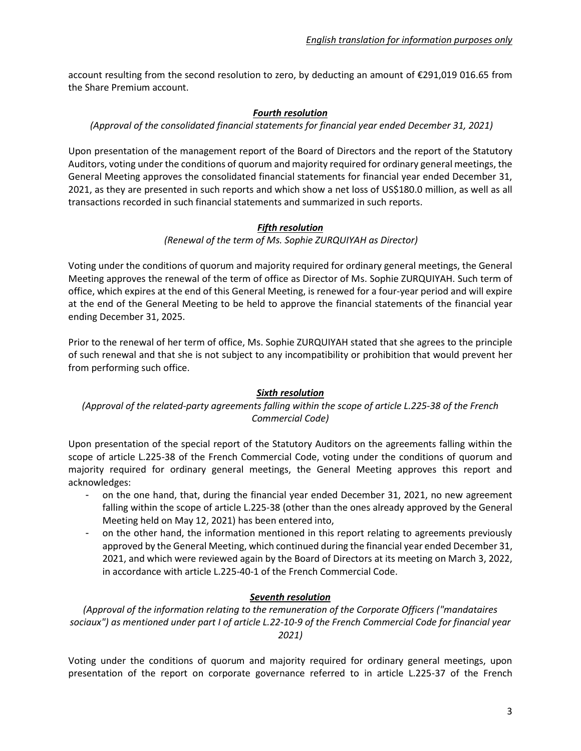account resulting from the second resolution to zero, by deducting an amount of €291,019 016.65 from the Share Premium account.

#### *Fourth resolution*

#### *(Approval of the consolidated financial statements for financial year ended December 31, 2021)*

Upon presentation of the management report of the Board of Directors and the report of the Statutory Auditors, voting under the conditions of quorum and majority required for ordinary general meetings, the General Meeting approves the consolidated financial statements for financial year ended December 31, 2021, as they are presented in such reports and which show a net loss of US\$180.0 million, as well as all transactions recorded in such financial statements and summarized in such reports.

### *Fifth resolution*

### *(Renewal of the term of Ms. Sophie ZURQUIYAH as Director)*

Voting under the conditions of quorum and majority required for ordinary general meetings, the General Meeting approves the renewal of the term of office as Director of Ms. Sophie ZURQUIYAH. Such term of office, which expires at the end of this General Meeting, is renewed for a four-year period and will expire at the end of the General Meeting to be held to approve the financial statements of the financial year ending December 31, 2025.

Prior to the renewal of her term of office, Ms. Sophie ZURQUIYAH stated that she agrees to the principle of such renewal and that she is not subject to any incompatibility or prohibition that would prevent her from performing such office.

#### *Sixth resolution*

# *(Approval of the related-party agreements falling within the scope of article L.225-38 of the French Commercial Code)*

Upon presentation of the special report of the Statutory Auditors on the agreements falling within the scope of article L.225-38 of the French Commercial Code, voting under the conditions of quorum and majority required for ordinary general meetings, the General Meeting approves this report and acknowledges:

- on the one hand, that, during the financial year ended December 31, 2021, no new agreement falling within the scope of article L.225-38 (other than the ones already approved by the General Meeting held on May 12, 2021) has been entered into,
- on the other hand, the information mentioned in this report relating to agreements previously approved by the General Meeting, which continued during the financial year ended December 31, 2021, and which were reviewed again by the Board of Directors at its meeting on March 3, 2022, in accordance with article L.225-40-1 of the French Commercial Code.

# *Seventh resolution*

*(Approval of the information relating to the remuneration of the Corporate Officers ("mandataires sociaux") as mentioned under part I of article L.22-10-9 of the French Commercial Code for financial year 2021)*

Voting under the conditions of quorum and majority required for ordinary general meetings, upon presentation of the report on corporate governance referred to in article L.225-37 of the French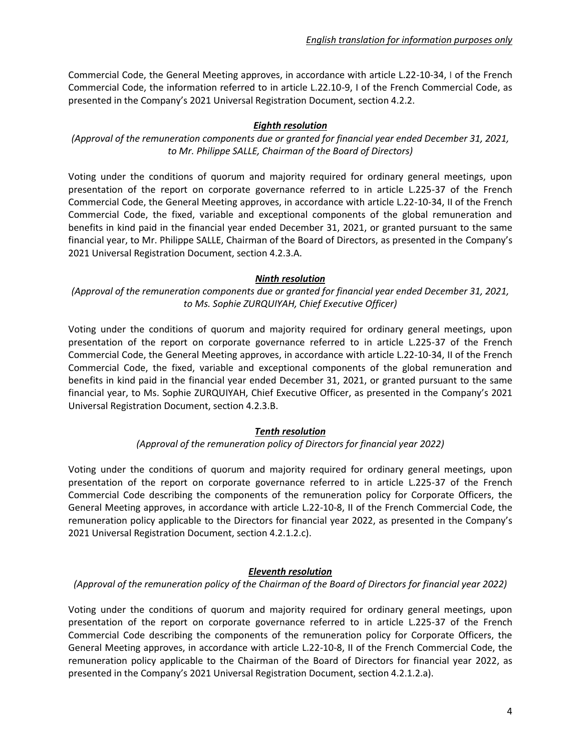Commercial Code, the General Meeting approves, in accordance with article L.22-10-34, I of the French Commercial Code, the information referred to in article L.22.10-9, I of the French Commercial Code, as presented in the Company's 2021 Universal Registration Document, section 4.2.2.

## *Eighth resolution*

*(Approval of the remuneration components due or granted for financial year ended December 31, 2021, to Mr. Philippe SALLE, Chairman of the Board of Directors)*

Voting under the conditions of quorum and majority required for ordinary general meetings, upon presentation of the report on corporate governance referred to in article L.225-37 of the French Commercial Code, the General Meeting approves, in accordance with article L.22-10-34, II of the French Commercial Code, the fixed, variable and exceptional components of the global remuneration and benefits in kind paid in the financial year ended December 31, 2021, or granted pursuant to the same financial year, to Mr. Philippe SALLE, Chairman of the Board of Directors, as presented in the Company's 2021 Universal Registration Document, section 4.2.3.A.

### *Ninth resolution*

*(Approval of the remuneration components due or granted for financial year ended December 31, 2021, to Ms. Sophie ZURQUIYAH, Chief Executive Officer)*

Voting under the conditions of quorum and majority required for ordinary general meetings, upon presentation of the report on corporate governance referred to in article L.225-37 of the French Commercial Code, the General Meeting approves, in accordance with article L.22-10-34, II of the French Commercial Code, the fixed, variable and exceptional components of the global remuneration and benefits in kind paid in the financial year ended December 31, 2021, or granted pursuant to the same financial year, to Ms. Sophie ZURQUIYAH, Chief Executive Officer, as presented in the Company's 2021 Universal Registration Document, section 4.2.3.B.

# *Tenth resolution*

*(Approval of the remuneration policy of Directors for financial year 2022)* 

Voting under the conditions of quorum and majority required for ordinary general meetings, upon presentation of the report on corporate governance referred to in article L.225-37 of the French Commercial Code describing the components of the remuneration policy for Corporate Officers, the General Meeting approves, in accordance with article L.22-10-8, II of the French Commercial Code, the remuneration policy applicable to the Directors for financial year 2022, as presented in the Company's 2021 Universal Registration Document, section 4.2.1.2.c).

# *Eleventh resolution*

*(Approval of the remuneration policy of the Chairman of the Board of Directors for financial year 2022)* 

Voting under the conditions of quorum and majority required for ordinary general meetings, upon presentation of the report on corporate governance referred to in article L.225-37 of the French Commercial Code describing the components of the remuneration policy for Corporate Officers, the General Meeting approves, in accordance with article L.22-10-8, II of the French Commercial Code, the remuneration policy applicable to the Chairman of the Board of Directors for financial year 2022, as presented in the Company's 2021 Universal Registration Document, section 4.2.1.2.a).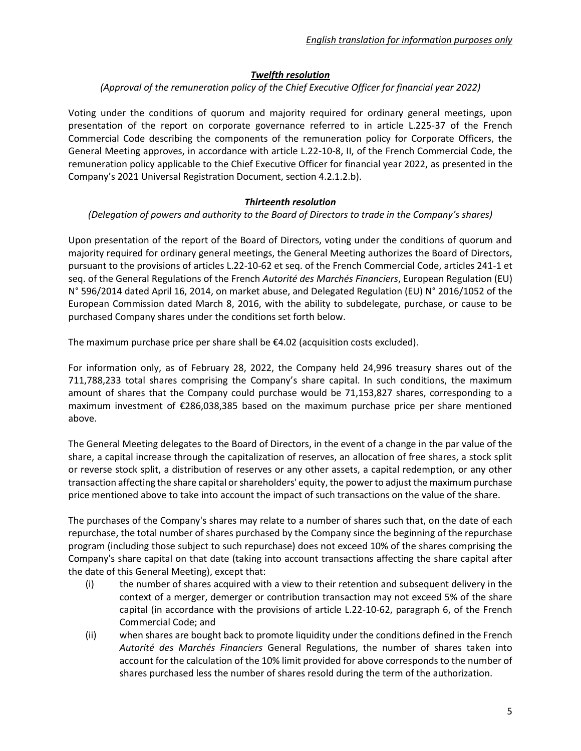## *Twelfth resolution*

*(Approval of the remuneration policy of the Chief Executive Officer for financial year 2022)* 

Voting under the conditions of quorum and majority required for ordinary general meetings, upon presentation of the report on corporate governance referred to in article L.225-37 of the French Commercial Code describing the components of the remuneration policy for Corporate Officers, the General Meeting approves, in accordance with article L.22-10-8, II, of the French Commercial Code, the remuneration policy applicable to the Chief Executive Officer for financial year 2022, as presented in the Company's 2021 Universal Registration Document, section 4.2.1.2.b).

#### *Thirteenth resolution*

*(Delegation of powers and authority to the Board of Directors to trade in the Company's shares)*

Upon presentation of the report of the Board of Directors, voting under the conditions of quorum and majority required for ordinary general meetings, the General Meeting authorizes the Board of Directors, pursuant to the provisions of articles L.22-10-62 et seq. of the French Commercial Code, articles 241-1 et seq. of the General Regulations of the French *Autorité des Marchés Financiers*, European Regulation (EU) N° 596/2014 dated April 16, 2014, on market abuse, and Delegated Regulation (EU) N° 2016/1052 of the European Commission dated March 8, 2016, with the ability to subdelegate, purchase, or cause to be purchased Company shares under the conditions set forth below.

The maximum purchase price per share shall be  $\epsilon$ 4.02 (acquisition costs excluded).

For information only, as of February 28, 2022, the Company held 24,996 treasury shares out of the 711,788,233 total shares comprising the Company's share capital. In such conditions, the maximum amount of shares that the Company could purchase would be 71,153,827 shares, corresponding to a maximum investment of €286,038,385 based on the maximum purchase price per share mentioned above.

The General Meeting delegates to the Board of Directors, in the event of a change in the par value of the share, a capital increase through the capitalization of reserves, an allocation of free shares, a stock split or reverse stock split, a distribution of reserves or any other assets, a capital redemption, or any other transaction affecting the share capital or shareholders' equity, the power to adjust the maximum purchase price mentioned above to take into account the impact of such transactions on the value of the share.

The purchases of the Company's shares may relate to a number of shares such that, on the date of each repurchase, the total number of shares purchased by the Company since the beginning of the repurchase program (including those subject to such repurchase) does not exceed 10% of the shares comprising the Company's share capital on that date (taking into account transactions affecting the share capital after the date of this General Meeting), except that:

- (i) the number of shares acquired with a view to their retention and subsequent delivery in the context of a merger, demerger or contribution transaction may not exceed 5% of the share capital (in accordance with the provisions of article L.22-10-62, paragraph 6, of the French Commercial Code; and
- (ii) when shares are bought back to promote liquidity under the conditions defined in the French *Autorité des Marchés Financiers* General Regulations, the number of shares taken into account for the calculation of the 10% limit provided for above corresponds to the number of shares purchased less the number of shares resold during the term of the authorization.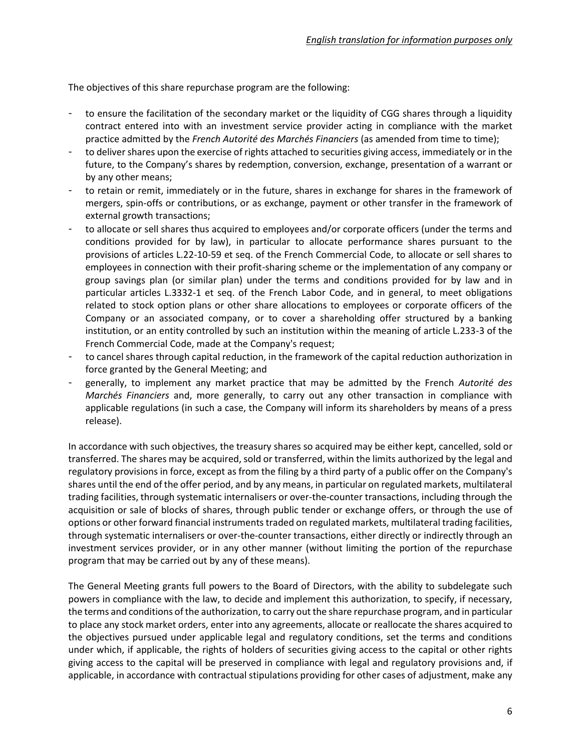The objectives of this share repurchase program are the following:

- to ensure the facilitation of the secondary market or the liquidity of CGG shares through a liquidity contract entered into with an investment service provider acting in compliance with the market practice admitted by the *French Autorité des Marchés Financiers* (as amended from time to time);
- to deliver shares upon the exercise of rights attached to securities giving access, immediately or in the future, to the Company's shares by redemption, conversion, exchange, presentation of a warrant or by any other means;
- to retain or remit, immediately or in the future, shares in exchange for shares in the framework of mergers, spin-offs or contributions, or as exchange, payment or other transfer in the framework of external growth transactions;
- to allocate or sell shares thus acquired to employees and/or corporate officers (under the terms and conditions provided for by law), in particular to allocate performance shares pursuant to the provisions of articles L.22-10-59 et seq. of the French Commercial Code, to allocate or sell shares to employees in connection with their profit-sharing scheme or the implementation of any company or group savings plan (or similar plan) under the terms and conditions provided for by law and in particular articles L.3332-1 et seq. of the French Labor Code, and in general, to meet obligations related to stock option plans or other share allocations to employees or corporate officers of the Company or an associated company, or to cover a shareholding offer structured by a banking institution, or an entity controlled by such an institution within the meaning of article L.233-3 of the French Commercial Code, made at the Company's request;
- to cancel shares through capital reduction, in the framework of the capital reduction authorization in force granted by the General Meeting; and
- generally, to implement any market practice that may be admitted by the French *Autorité des Marchés Financiers* and, more generally, to carry out any other transaction in compliance with applicable regulations (in such a case, the Company will inform its shareholders by means of a press release).

In accordance with such objectives, the treasury shares so acquired may be either kept, cancelled, sold or transferred. The shares may be acquired, sold or transferred, within the limits authorized by the legal and regulatory provisions in force, except as from the filing by a third party of a public offer on the Company's shares until the end of the offer period, and by any means, in particular on regulated markets, multilateral trading facilities, through systematic internalisers or over-the-counter transactions, including through the acquisition or sale of blocks of shares, through public tender or exchange offers, or through the use of options or other forward financial instruments traded on regulated markets, multilateral trading facilities, through systematic internalisers or over-the-counter transactions, either directly or indirectly through an investment services provider, or in any other manner (without limiting the portion of the repurchase program that may be carried out by any of these means).

The General Meeting grants full powers to the Board of Directors, with the ability to subdelegate such powers in compliance with the law, to decide and implement this authorization, to specify, if necessary, the terms and conditions of the authorization, to carry out the share repurchase program, and in particular to place any stock market orders, enter into any agreements, allocate or reallocate the shares acquired to the objectives pursued under applicable legal and regulatory conditions, set the terms and conditions under which, if applicable, the rights of holders of securities giving access to the capital or other rights giving access to the capital will be preserved in compliance with legal and regulatory provisions and, if applicable, in accordance with contractual stipulations providing for other cases of adjustment, make any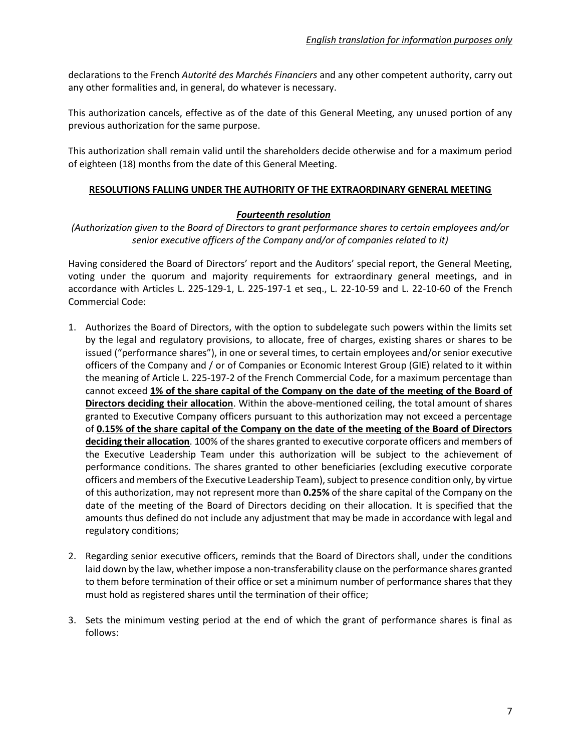declarations to the French *Autorité des Marchés Financiers* and any other competent authority, carry out any other formalities and, in general, do whatever is necessary.

This authorization cancels, effective as of the date of this General Meeting, any unused portion of any previous authorization for the same purpose.

This authorization shall remain valid until the shareholders decide otherwise and for a maximum period of eighteen (18) months from the date of this General Meeting.

#### **RESOLUTIONS FALLING UNDER THE AUTHORITY OF THE EXTRAORDINARY GENERAL MEETING**

### *Fourteenth resolution*

*(Authorization given to the Board of Directors to grant performance shares to certain employees and/or senior executive officers of the Company and/or of companies related to it)*

Having considered the Board of Directors' report and the Auditors' special report, the General Meeting, voting under the quorum and majority requirements for extraordinary general meetings, and in accordance with Articles L. 225-129-1, L. 225-197-1 et seq., L. 22-10-59 and L. 22-10-60 of the French Commercial Code:

- 1. Authorizes the Board of Directors, with the option to subdelegate such powers within the limits set by the legal and regulatory provisions, to allocate, free of charges, existing shares or shares to be issued ("performance shares"), in one or several times, to certain employees and/or senior executive officers of the Company and / or of Companies or Economic Interest Group (GIE) related to it within the meaning of Article L. 225-197-2 of the French Commercial Code, for a maximum percentage than cannot exceed **1% of the share capital of the Company on the date of the meeting of the Board of Directors deciding their allocation**. Within the above-mentioned ceiling, the total amount of shares granted to Executive Company officers pursuant to this authorization may not exceed a percentage of **0.15% of the share capital of the Company on the date of the meeting of the Board of Directors deciding their allocation**. 100% of the shares granted to executive corporate officers and members of the Executive Leadership Team under this authorization will be subject to the achievement of performance conditions. The shares granted to other beneficiaries (excluding executive corporate officers and members of the Executive Leadership Team), subject to presence condition only, by virtue of this authorization, may not represent more than **0.25%** of the share capital of the Company on the date of the meeting of the Board of Directors deciding on their allocation. It is specified that the amounts thus defined do not include any adjustment that may be made in accordance with legal and regulatory conditions;
- 2. Regarding senior executive officers, reminds that the Board of Directors shall, under the conditions laid down by the law, whether impose a non-transferability clause on the performance shares granted to them before termination of their office or set a minimum number of performance shares that they must hold as registered shares until the termination of their office;
- 3. Sets the minimum vesting period at the end of which the grant of performance shares is final as follows: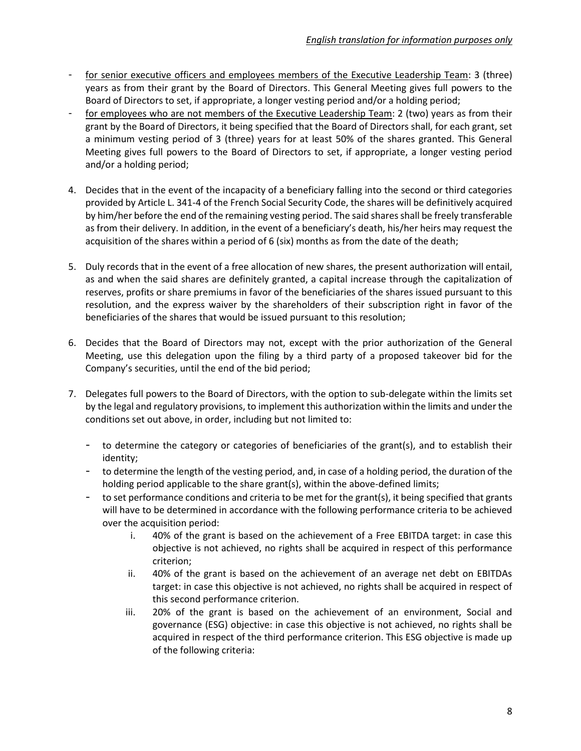- for senior executive officers and employees members of the Executive Leadership Team: 3 (three) years as from their grant by the Board of Directors. This General Meeting gives full powers to the Board of Directors to set, if appropriate, a longer vesting period and/or a holding period;
- for employees who are not members of the Executive Leadership Team: 2 (two) years as from their grant by the Board of Directors, it being specified that the Board of Directors shall, for each grant, set a minimum vesting period of 3 (three) years for at least 50% of the shares granted. This General Meeting gives full powers to the Board of Directors to set, if appropriate, a longer vesting period and/or a holding period;
- 4. Decides that in the event of the incapacity of a beneficiary falling into the second or third categories provided by Article L. 341-4 of the French Social Security Code, the shares will be definitively acquired by him/her before the end of the remaining vesting period. The said shares shall be freely transferable as from their delivery. In addition, in the event of a beneficiary's death, his/her heirs may request the acquisition of the shares within a period of 6 (six) months as from the date of the death;
- 5. Duly records that in the event of a free allocation of new shares, the present authorization will entail, as and when the said shares are definitely granted, a capital increase through the capitalization of reserves, profits or share premiums in favor of the beneficiaries of the shares issued pursuant to this resolution, and the express waiver by the shareholders of their subscription right in favor of the beneficiaries of the shares that would be issued pursuant to this resolution;
- 6. Decides that the Board of Directors may not, except with the prior authorization of the General Meeting, use this delegation upon the filing by a third party of a proposed takeover bid for the Company's securities, until the end of the bid period;
- 7. Delegates full powers to the Board of Directors, with the option to sub-delegate within the limits set by the legal and regulatory provisions, to implement this authorization within the limits and under the conditions set out above, in order, including but not limited to:
	- to determine the category or categories of beneficiaries of the grant(s), and to establish their identity;
	- to determine the length of the vesting period, and, in case of a holding period, the duration of the holding period applicable to the share grant(s), within the above-defined limits;
	- to set performance conditions and criteria to be met for the grant(s), it being specified that grants will have to be determined in accordance with the following performance criteria to be achieved over the acquisition period:
		- i. 40% of the grant is based on the achievement of a Free EBITDA target: in case this objective is not achieved, no rights shall be acquired in respect of this performance criterion;
		- ii. 40% of the grant is based on the achievement of an average net debt on EBITDAs target: in case this objective is not achieved, no rights shall be acquired in respect of this second performance criterion.
		- iii. 20% of the grant is based on the achievement of an environment, Social and governance (ESG) objective: in case this objective is not achieved, no rights shall be acquired in respect of the third performance criterion. This ESG objective is made up of the following criteria: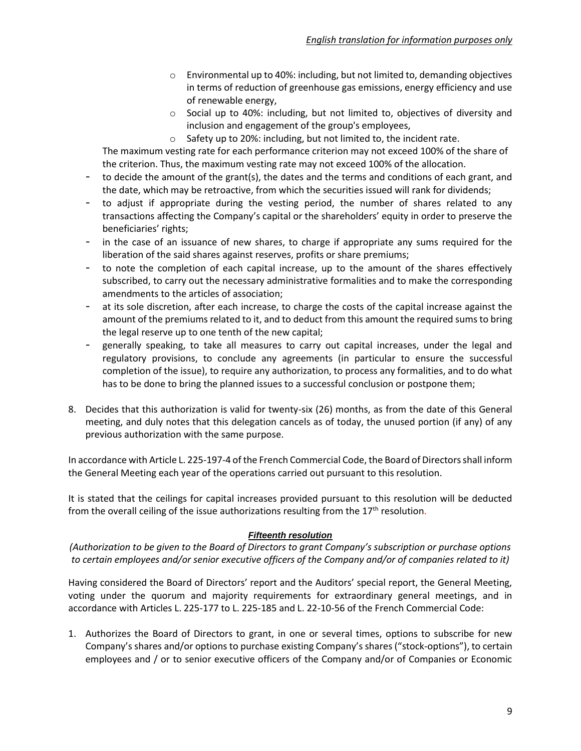- $\circ$  Environmental up to 40%: including, but not limited to, demanding objectives in terms of reduction of greenhouse gas emissions, energy efficiency and use of renewable energy,
- $\circ$  Social up to 40%: including, but not limited to, objectives of diversity and inclusion and engagement of the group's employees,
- o Safety up to 20%: including, but not limited to, the incident rate.

The maximum vesting rate for each performance criterion may not exceed 100% of the share of the criterion. Thus, the maximum vesting rate may not exceed 100% of the allocation.

- to decide the amount of the grant(s), the dates and the terms and conditions of each grant, and the date, which may be retroactive, from which the securities issued will rank for dividends;
- to adjust if appropriate during the vesting period, the number of shares related to any transactions affecting the Company's capital or the shareholders' equity in order to preserve the beneficiaries' rights;
- in the case of an issuance of new shares, to charge if appropriate any sums required for the liberation of the said shares against reserves, profits or share premiums;
- to note the completion of each capital increase, up to the amount of the shares effectively subscribed, to carry out the necessary administrative formalities and to make the corresponding amendments to the articles of association;
- at its sole discretion, after each increase, to charge the costs of the capital increase against the amount of the premiums related to it, and to deduct from this amount the required sums to bring the legal reserve up to one tenth of the new capital;
- generally speaking, to take all measures to carry out capital increases, under the legal and regulatory provisions, to conclude any agreements (in particular to ensure the successful completion of the issue), to require any authorization, to process any formalities, and to do what has to be done to bring the planned issues to a successful conclusion or postpone them;
- 8. Decides that this authorization is valid for twenty-six (26) months, as from the date of this General meeting, and duly notes that this delegation cancels as of today, the unused portion (if any) of any previous authorization with the same purpose.

In accordance with Article L. 225-197-4 of the French Commercial Code, the Board of Directors shall inform the General Meeting each year of the operations carried out pursuant to this resolution.

It is stated that the ceilings for capital increases provided pursuant to this resolution will be deducted from the overall ceiling of the issue authorizations resulting from the  $17<sup>th</sup>$  resolution.

# *Fifteenth resolution*

*(Authorization to be given to the Board of Directors to grant Company's subscription or purchase options to certain employees and/or senior executive officers of the Company and/or of companies related to it)*

Having considered the Board of Directors' report and the Auditors' special report, the General Meeting, voting under the quorum and majority requirements for extraordinary general meetings, and in accordance with Articles L. 225-177 to L. 225-185 and L. 22-10-56 of the French Commercial Code:

1. Authorizes the Board of Directors to grant, in one or several times, options to subscribe for new Company's shares and/or options to purchase existing Company's shares ("stock-options"), to certain employees and / or to senior executive officers of the Company and/or of Companies or Economic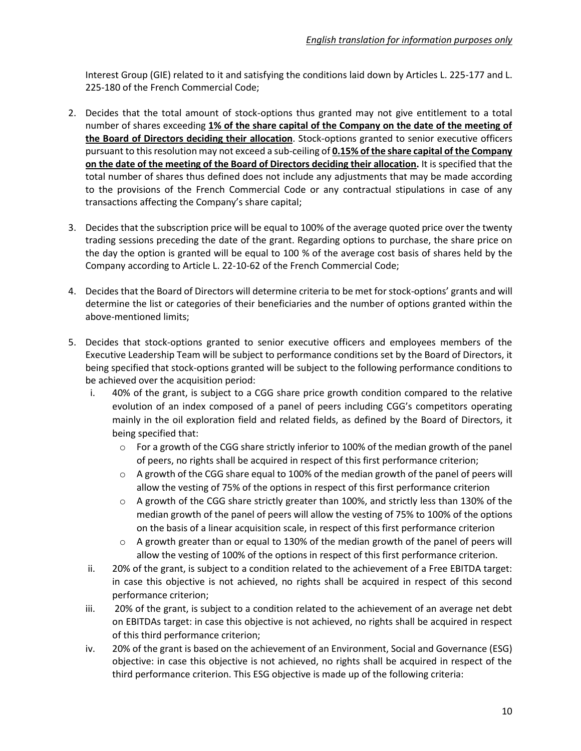Interest Group (GIE) related to it and satisfying the conditions laid down by Articles L. 225-177 and L. 225-180 of the French Commercial Code;

- 2. Decides that the total amount of stock-options thus granted may not give entitlement to a total number of shares exceeding **1% of the share capital of the Company on the date of the meeting of the Board of Directors deciding their allocation**. Stock-options granted to senior executive officers pursuant to this resolution may not exceed a sub-ceiling of **0.15% of the share capital of the Company on the date of the meeting of the Board of Directors deciding their allocation.** It is specified that the total number of shares thus defined does not include any adjustments that may be made according to the provisions of the French Commercial Code or any contractual stipulations in case of any transactions affecting the Company's share capital;
- 3. Decides that the subscription price will be equal to 100% of the average quoted price over the twenty trading sessions preceding the date of the grant. Regarding options to purchase, the share price on the day the option is granted will be equal to 100 % of the average cost basis of shares held by the Company according to Article L. 22-10-62 of the French Commercial Code;
- 4. Decides that the Board of Directors will determine criteria to be met for stock-options' grants and will determine the list or categories of their beneficiaries and the number of options granted within the above-mentioned limits;
- 5. Decides that stock-options granted to senior executive officers and employees members of the Executive Leadership Team will be subject to performance conditions set by the Board of Directors, it being specified that stock-options granted will be subject to the following performance conditions to be achieved over the acquisition period:
	- i. 40% of the grant, is subject to a CGG share price growth condition compared to the relative evolution of an index composed of a panel of peers including CGG's competitors operating mainly in the oil exploration field and related fields, as defined by the Board of Directors, it being specified that:
		- $\circ$  For a growth of the CGG share strictly inferior to 100% of the median growth of the panel of peers, no rights shall be acquired in respect of this first performance criterion;
		- $\circ$  A growth of the CGG share equal to 100% of the median growth of the panel of peers will allow the vesting of 75% of the options in respect of this first performance criterion
		- $\circ$  A growth of the CGG share strictly greater than 100%, and strictly less than 130% of the median growth of the panel of peers will allow the vesting of 75% to 100% of the options on the basis of a linear acquisition scale, in respect of this first performance criterion
		- $\circ$  A growth greater than or equal to 130% of the median growth of the panel of peers will allow the vesting of 100% of the options in respect of this first performance criterion.
	- ii. 20% of the grant, is subject to a condition related to the achievement of a Free EBITDA target: in case this objective is not achieved, no rights shall be acquired in respect of this second performance criterion;
	- iii. 20% of the grant, is subject to a condition related to the achievement of an average net debt on EBITDAs target: in case this objective is not achieved, no rights shall be acquired in respect of this third performance criterion;
	- iv. 20% of the grant is based on the achievement of an Environment, Social and Governance (ESG) objective: in case this objective is not achieved, no rights shall be acquired in respect of the third performance criterion. This ESG objective is made up of the following criteria: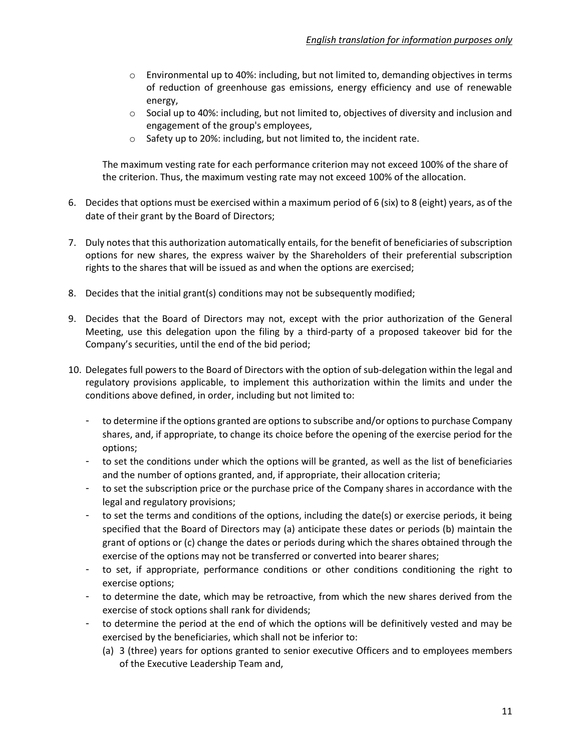- $\circ$  Environmental up to 40%: including, but not limited to, demanding objectives in terms of reduction of greenhouse gas emissions, energy efficiency and use of renewable energy,
- o Social up to 40%: including, but not limited to, objectives of diversity and inclusion and engagement of the group's employees,
- o Safety up to 20%: including, but not limited to, the incident rate.

The maximum vesting rate for each performance criterion may not exceed 100% of the share of the criterion. Thus, the maximum vesting rate may not exceed 100% of the allocation.

- 6. Decides that options must be exercised within a maximum period of 6 (six) to 8 (eight) years, as of the date of their grant by the Board of Directors;
- 7. Duly notes that this authorization automatically entails, for the benefit of beneficiaries of subscription options for new shares, the express waiver by the Shareholders of their preferential subscription rights to the shares that will be issued as and when the options are exercised;
- 8. Decides that the initial grant(s) conditions may not be subsequently modified;
- 9. Decides that the Board of Directors may not, except with the prior authorization of the General Meeting, use this delegation upon the filing by a third-party of a proposed takeover bid for the Company's securities, until the end of the bid period;
- 10. Delegates full powers to the Board of Directors with the option of sub-delegation within the legal and regulatory provisions applicable, to implement this authorization within the limits and under the conditions above defined, in order, including but not limited to:
	- to determine if the options granted are options to subscribe and/or options to purchase Company shares, and, if appropriate, to change its choice before the opening of the exercise period for the options;
	- to set the conditions under which the options will be granted, as well as the list of beneficiaries and the number of options granted, and, if appropriate, their allocation criteria;
	- to set the subscription price or the purchase price of the Company shares in accordance with the legal and regulatory provisions;
	- to set the terms and conditions of the options, including the date(s) or exercise periods, it being specified that the Board of Directors may (a) anticipate these dates or periods (b) maintain the grant of options or (c) change the dates or periods during which the shares obtained through the exercise of the options may not be transferred or converted into bearer shares;
	- to set, if appropriate, performance conditions or other conditions conditioning the right to exercise options;
	- to determine the date, which may be retroactive, from which the new shares derived from the exercise of stock options shall rank for dividends;
	- to determine the period at the end of which the options will be definitively vested and may be exercised by the beneficiaries, which shall not be inferior to:
		- (a) 3 (three) years for options granted to senior executive Officers and to employees members of the Executive Leadership Team and,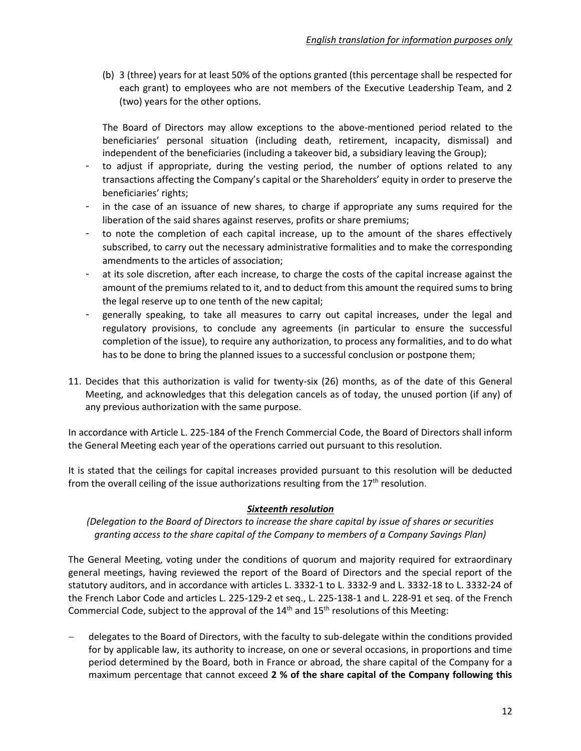(b) 3 (three) years for at least 50% of the options granted (this percentage shall be respected for each grant) to employees who are not members of the Executive Leadership Team, and 2 (two) years for the other options.

The Board of Directors may allow exceptions to the above-mentioned period related to the beneficiaries' personal situation (including death, retirement, incapacity, dismissal) and independent of the beneficiaries (including a takeover bid, a subsidiary leaving the Group);

- to adjust if appropriate, during the vesting period, the number of options related to any transactions affecting the Company's capital or the Shareholders' equity in order to preserve the beneficiaries' rights;
- in the case of an issuance of new shares, to charge if appropriate any sums required for the liberation of the said shares against reserves, profits or share premiums;
- to note the completion of each capital increase, up to the amount of the shares effectively subscribed, to carry out the necessary administrative formalities and to make the corresponding amendments to the articles of association;
- at its sole discretion, after each increase, to charge the costs of the capital increase against the amount of the premiums related to it, and to deduct from this amount the required sums to bring the legal reserve up to one tenth of the new capital;
- generally speaking, to take all measures to carry out capital increases, under the legal and regulatory provisions, to conclude any agreements (in particular to ensure the successful completion of the issue), to require any authorization, to process any formalities, and to do what has to be done to bring the planned issues to a successful conclusion or postpone them;
- 11. Decides that this authorization is valid for twenty-six (26) months, as of the date of this General Meeting, and acknowledges that this delegation cancels as of today, the unused portion (if any) of any previous authorization with the same purpose.

In accordance with Article L. 225-184 of the French Commercial Code, the Board of Directors shall inform the General Meeting each year of the operations carried out pursuant to this resolution.

It is stated that the ceilings for capital increases provided pursuant to this resolution will be deducted from the overall ceiling of the issue authorizations resulting from the  $17<sup>th</sup>$  resolution.

# *Sixteenth resolution*

*(Delegation to the Board of Directors to increase the share capital by issue of shares or securities granting access to the share capital of the Company to members of a Company Savings Plan)*

The General Meeting, voting under the conditions of quorum and majority required for extraordinary general meetings, having reviewed the report of the Board of Directors and the special report of the statutory auditors, and in accordance with articles L. 3332-1 to L. 3332-9 and L. 3332-18 to L. 3332-24 of the French Labor Code and articles L. 225-129-2 et seq., L. 225-138-1 and L. 228-91 et seq. of the French Commercial Code, subject to the approval of the 14<sup>th</sup> and 15<sup>th</sup> resolutions of this Meeting:

− delegates to the Board of Directors, with the faculty to sub-delegate within the conditions provided for by applicable law, its authority to increase, on one or several occasions, in proportions and time period determined by the Board, both in France or abroad, the share capital of the Company for a maximum percentage that cannot exceed **2 % of the share capital of the Company following this**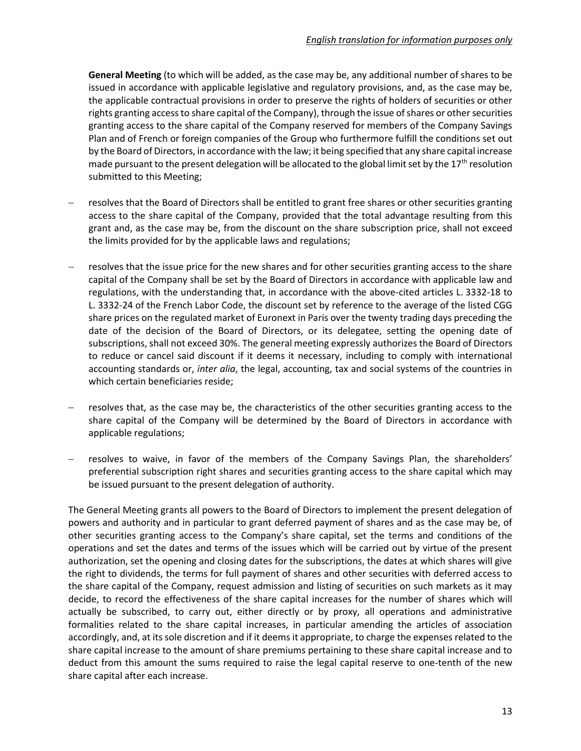**General Meeting** (to which will be added, as the case may be, any additional number of shares to be issued in accordance with applicable legislative and regulatory provisions, and, as the case may be, the applicable contractual provisions in order to preserve the rights of holders of securities or other rights granting access to share capital of the Company), through the issue of shares or other securities granting access to the share capital of the Company reserved for members of the Company Savings Plan and of French or foreign companies of the Group who furthermore fulfill the conditions set out by the Board of Directors, in accordance with the law; it being specified that any share capital increase made pursuant to the present delegation will be allocated to the global limit set by the  $17<sup>th</sup>$  resolution submitted to this Meeting;

- resolves that the Board of Directors shall be entitled to grant free shares or other securities granting access to the share capital of the Company, provided that the total advantage resulting from this grant and, as the case may be, from the discount on the share subscription price, shall not exceed the limits provided for by the applicable laws and regulations;
- resolves that the issue price for the new shares and for other securities granting access to the share capital of the Company shall be set by the Board of Directors in accordance with applicable law and regulations, with the understanding that, in accordance with the above-cited articles L. 3332-18 to L. 3332-24 of the French Labor Code, the discount set by reference to the average of the listed CGG share prices on the regulated market of Euronext in Paris over the twenty trading days preceding the date of the decision of the Board of Directors, or its delegatee, setting the opening date of subscriptions, shall not exceed 30%. The general meeting expressly authorizes the Board of Directors to reduce or cancel said discount if it deems it necessary, including to comply with international accounting standards or, *inter alia*, the legal, accounting, tax and social systems of the countries in which certain beneficiaries reside;
- − resolves that, as the case may be, the characteristics of the other securities granting access to the share capital of the Company will be determined by the Board of Directors in accordance with applicable regulations;
- resolves to waive, in favor of the members of the Company Savings Plan, the shareholders' preferential subscription right shares and securities granting access to the share capital which may be issued pursuant to the present delegation of authority.

The General Meeting grants all powers to the Board of Directors to implement the present delegation of powers and authority and in particular to grant deferred payment of shares and as the case may be, of other securities granting access to the Company's share capital, set the terms and conditions of the operations and set the dates and terms of the issues which will be carried out by virtue of the present authorization, set the opening and closing dates for the subscriptions, the dates at which shares will give the right to dividends, the terms for full payment of shares and other securities with deferred access to the share capital of the Company, request admission and listing of securities on such markets as it may decide, to record the effectiveness of the share capital increases for the number of shares which will actually be subscribed, to carry out, either directly or by proxy, all operations and administrative formalities related to the share capital increases, in particular amending the articles of association accordingly, and, at its sole discretion and if it deems it appropriate, to charge the expenses related to the share capital increase to the amount of share premiums pertaining to these share capital increase and to deduct from this amount the sums required to raise the legal capital reserve to one-tenth of the new share capital after each increase.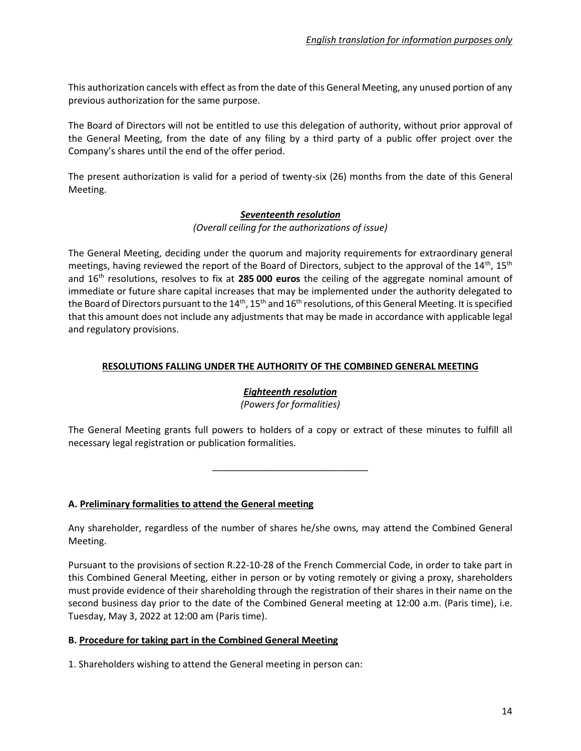This authorization cancels with effect as from the date of this General Meeting, any unused portion of any previous authorization for the same purpose.

The Board of Directors will not be entitled to use this delegation of authority, without prior approval of the General Meeting, from the date of any filing by a third party of a public offer project over the Company's shares until the end of the offer period.

The present authorization is valid for a period of twenty-six (26) months from the date of this General Meeting.

### *Seventeenth resolution*

#### *(Overall ceiling for the authorizations of issue)*

The General Meeting, deciding under the quorum and majority requirements for extraordinary general meetings, having reviewed the report of the Board of Directors, subject to the approval of the 14<sup>th</sup>, 15<sup>th</sup> and 16th resolutions, resolves to fix at **285 000 euros** the ceiling of the aggregate nominal amount of immediate or future share capital increases that may be implemented under the authority delegated to the Board of Directors pursuant to the 14<sup>th</sup>, 15<sup>th</sup> and 16<sup>th</sup> resolutions, of this General Meeting. It is specified that this amount does not include any adjustments that may be made in accordance with applicable legal and regulatory provisions.

# **RESOLUTIONS FALLING UNDER THE AUTHORITY OF THE COMBINED GENERAL MEETING**

# *Eighteenth resolution*

*(Powers for formalities)*

The General Meeting grants full powers to holders of a copy or extract of these minutes to fulfill all necessary legal registration or publication formalities.

\_\_\_\_\_\_\_\_\_\_\_\_\_\_\_\_\_\_\_\_\_\_\_\_\_\_\_\_\_\_

**A. Preliminary formalities to attend the General meeting**

Any shareholder, regardless of the number of shares he/she owns, may attend the Combined General Meeting.

Pursuant to the provisions of section R.22-10-28 of the French Commercial Code, in order to take part in this Combined General Meeting, either in person or by voting remotely or giving a proxy, shareholders must provide evidence of their shareholding through the registration of their shares in their name on the second business day prior to the date of the Combined General meeting at 12:00 a.m. (Paris time), i.e. Tuesday, May 3, 2022 at 12:00 am (Paris time).

# **B. Procedure for taking part in the Combined General Meeting**

1. Shareholders wishing to attend the General meeting in person can: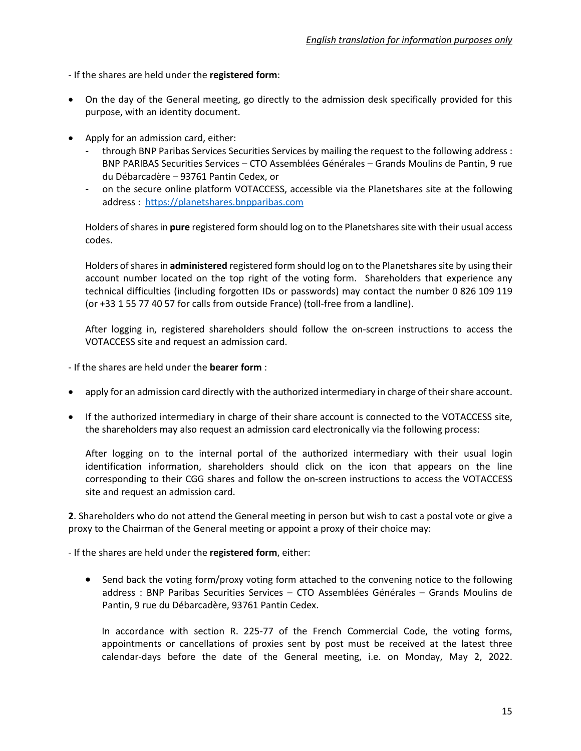- If the shares are held under the **registered form**:

- On the day of the General meeting, go directly to the admission desk specifically provided for this purpose, with an identity document.
- Apply for an admission card, either:
	- through BNP Paribas Services Securities Services by mailing the request to the following address : BNP PARIBAS Securities Services – CTO Assemblées Générales – Grands Moulins de Pantin, 9 rue du Débarcadère – 93761 Pantin Cedex, or
	- on the secure online platform VOTACCESS, accessible via the Planetshares site at the following address : [https://planetshares.bnpparibas.com](https://planetshares.bnpparibas.com/)

Holders of shares in **pure** registered form should log on to the Planetshares site with their usual access codes.

Holders of shares in administered registered form should log on to the Planetshares site by using their account number located on the top right of the voting form. Shareholders that experience any technical difficulties (including forgotten IDs or passwords) may contact the number 0 826 109 119 (or +33 1 55 77 40 57 for calls from outside France) (toll-free from a landline).

After logging in, registered shareholders should follow the on-screen instructions to access the VOTACCESS site and request an admission card.

- If the shares are held under the **bearer form** :

- apply for an admission card directly with the authorized intermediary in charge of their share account.
- If the authorized intermediary in charge of their share account is connected to the VOTACCESS site, the shareholders may also request an admission card electronically via the following process:

After logging on to the internal portal of the authorized intermediary with their usual login identification information, shareholders should click on the icon that appears on the line corresponding to their CGG shares and follow the on-screen instructions to access the VOTACCESS site and request an admission card.

**2**. Shareholders who do not attend the General meeting in person but wish to cast a postal vote or give a proxy to the Chairman of the General meeting or appoint a proxy of their choice may:

- If the shares are held under the **registered form**, either:

• Send back the voting form/proxy voting form attached to the convening notice to the following address : BNP Paribas Securities Services – CTO Assemblées Générales – Grands Moulins de Pantin, 9 rue du Débarcadère, 93761 Pantin Cedex.

In accordance with section R. 225-77 of the French Commercial Code, the voting forms, appointments or cancellations of proxies sent by post must be received at the latest three calendar-days before the date of the General meeting, i.e. on Monday, May 2, 2022.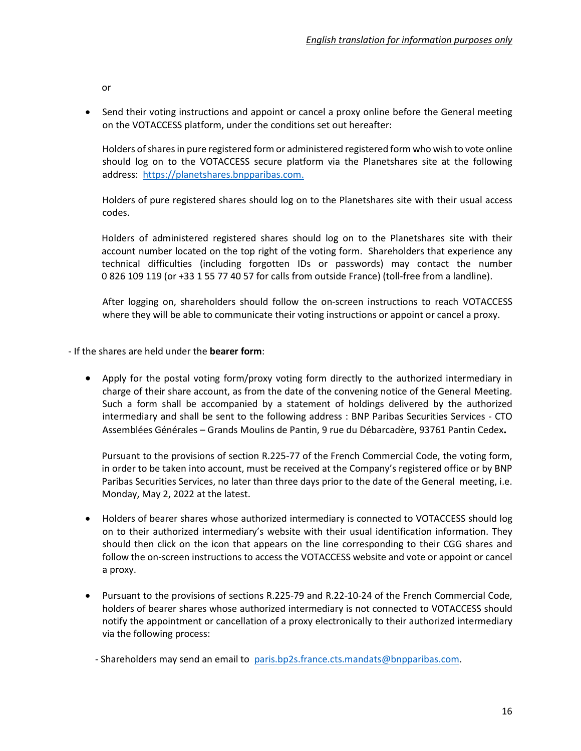or

• Send their voting instructions and appoint or cancel a proxy online before the General meeting on the VOTACCESS platform, under the conditions set out hereafter:

Holders of shares in pure registered form or administered registered form who wish to vote online should log on to the VOTACCESS secure platform via the Planetshares site at the following address: [https://planetshares.bnpparibas.com.](https://planetshares.bnpparibas.com/)

Holders of pure registered shares should log on to the Planetshares site with their usual access codes.

Holders of administered registered shares should log on to the Planetshares site with their account number located on the top right of the voting form. Shareholders that experience any technical difficulties (including forgotten IDs or passwords) may contact the number 0 826 109 119 (or +33 1 55 77 40 57 for calls from outside France) (toll-free from a landline).

After logging on, shareholders should follow the on-screen instructions to reach VOTACCESS where they will be able to communicate their voting instructions or appoint or cancel a proxy.

- If the shares are held under the **bearer form**:

• Apply for the postal voting form/proxy voting form directly to the authorized intermediary in charge of their share account, as from the date of the convening notice of the General Meeting. Such a form shall be accompanied by a statement of holdings delivered by the authorized intermediary and shall be sent to the following address : BNP Paribas Securities Services - CTO Assemblées Générales – Grands Moulins de Pantin, 9 rue du Débarcadère, 93761 Pantin Cedex**.**

Pursuant to the provisions of section R.225-77 of the French Commercial Code, the voting form, in order to be taken into account, must be received at the Company's registered office or by BNP Paribas Securities Services, no later than three days prior to the date of the General meeting, i.e. Monday, May 2, 2022 at the latest.

- Holders of bearer shares whose authorized intermediary is connected to VOTACCESS should log on to their authorized intermediary's website with their usual identification information. They should then click on the icon that appears on the line corresponding to their CGG shares and follow the on-screen instructions to access the VOTACCESS website and vote or appoint or cancel a proxy.
- Pursuant to the provisions of sections R.225-79 and R.22-10-24 of the French Commercial Code, holders of bearer shares whose authorized intermediary is not connected to VOTACCESS should notify the appointment or cancellation of a proxy electronically to their authorized intermediary via the following process:

- Shareholders may send an email to [paris.bp2s.france.cts.mandats@bnpparibas.com.](mailto:paris.bp2s.france.cts.mandats@bnpparibas.com)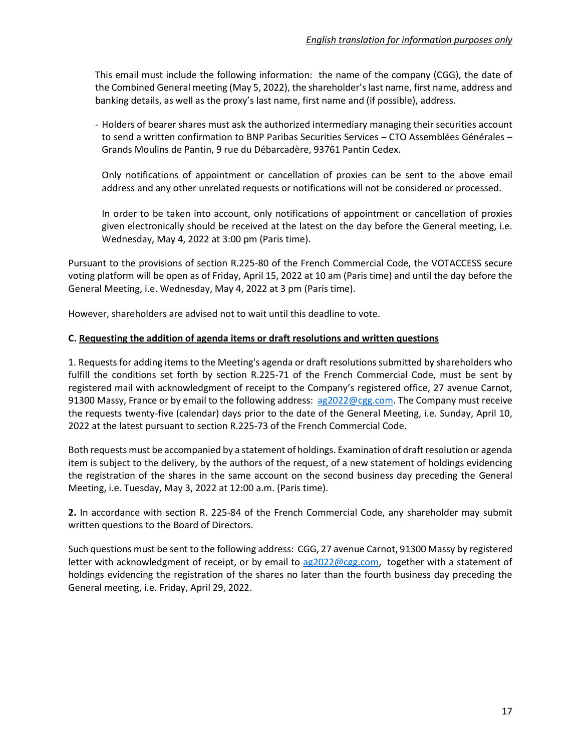This email must include the following information: the name of the company (CGG), the date of the Combined General meeting (May 5, 2022), the shareholder's last name, first name, address and banking details, as well as the proxy's last name, first name and (if possible), address.

- Holders of bearer shares must ask the authorized intermediary managing their securities account to send a written confirmation to BNP Paribas Securities Services – CTO Assemblées Générales – Grands Moulins de Pantin, 9 rue du Débarcadère, 93761 Pantin Cedex.

Only notifications of appointment or cancellation of proxies can be sent to the above email address and any other unrelated requests or notifications will not be considered or processed.

In order to be taken into account, only notifications of appointment or cancellation of proxies given electronically should be received at the latest on the day before the General meeting, i.e. Wednesday, May 4, 2022 at 3:00 pm (Paris time).

Pursuant to the provisions of section R.225-80 of the French Commercial Code, the VOTACCESS secure voting platform will be open as of Friday, April 15, 2022 at 10 am (Paris time) and until the day before the General Meeting, i.e. Wednesday, May 4, 2022 at 3 pm (Paris time).

However, shareholders are advised not to wait until this deadline to vote.

#### **C. Requesting the addition of agenda items or draft resolutions and written questions**

1. Requests for adding items to the Meeting's agenda or draft resolutions submitted by shareholders who fulfill the conditions set forth by section R.225-71 of the French Commercial Code, must be sent by registered mail with acknowledgment of receipt to the Company's registered office, 27 avenue Carnot, 91300 Massy, France or by email to the following address: [ag2022@cgg.com.](mailto:ag2022@cgg.com) The Company must receive the requests twenty-five (calendar) days prior to the date of the General Meeting, i.e. Sunday, April 10, 2022 at the latest pursuant to section R.225-73 of the French Commercial Code.

Both requests must be accompanied by a statement of holdings. Examination of draft resolution or agenda item is subject to the delivery, by the authors of the request, of a new statement of holdings evidencing the registration of the shares in the same account on the second business day preceding the General Meeting, i.e. Tuesday, May 3, 2022 at 12:00 a.m. (Paris time).

**2.** In accordance with section R. 225-84 of the French Commercial Code, any shareholder may submit written questions to the Board of Directors.

Such questions must be sent to the following address: CGG, 27 avenue Carnot, 91300 Massy by registered letter with acknowledgment of receipt, or by email to [ag2022@cgg.com,](mailto:ag2022@cgg.com) together with a statement of holdings evidencing the registration of the shares no later than the fourth business day preceding the General meeting, i.e. Friday, April 29, 2022.